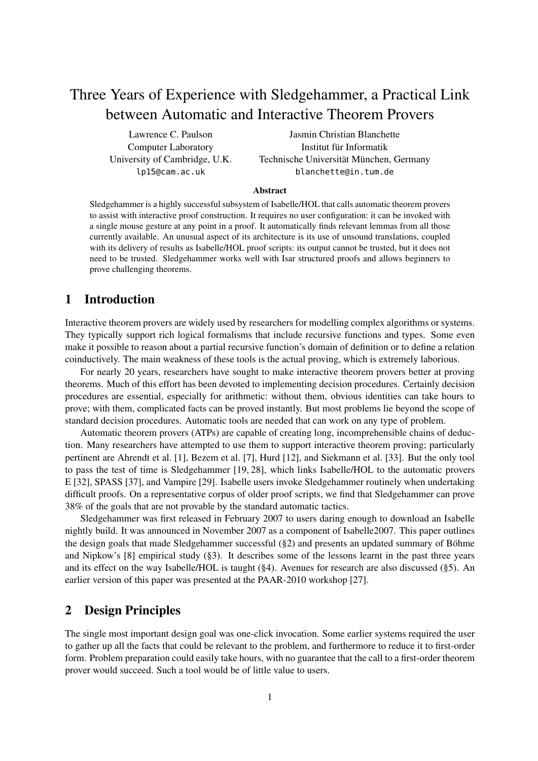# Three Years of Experience with Sledgehammer, a Practical Link between Automatic and Interactive Theorem Provers

Lawrence C. Paulson Computer Laboratory University of Cambridge, U.K. lp15@cam.ac.uk

Jasmin Christian Blanchette Institut für Informatik Technische Universität München, Germany blanchette@in.tum.de

#### Abstract

Sledgehammer is a highly successful subsystem of Isabelle/HOL that calls automatic theorem provers to assist with interactive proof construction. It requires no user configuration: it can be invoked with a single mouse gesture at any point in a proof. It automatically finds relevant lemmas from all those currently available. An unusual aspect of its architecture is its use of unsound translations, coupled with its delivery of results as Isabelle/HOL proof scripts: its output cannot be trusted, but it does not need to be trusted. Sledgehammer works well with Isar structured proofs and allows beginners to prove challenging theorems.

# 1 Introduction

Interactive theorem provers are widely used by researchers for modelling complex algorithms or systems. They typically support rich logical formalisms that include recursive functions and types. Some even make it possible to reason about a partial recursive function's domain of definition or to define a relation coinductively. The main weakness of these tools is the actual proving, which is extremely laborious.

For nearly 20 years, researchers have sought to make interactive theorem provers better at proving theorems. Much of this effort has been devoted to implementing decision procedures. Certainly decision procedures are essential, especially for arithmetic: without them, obvious identities can take hours to prove; with them, complicated facts can be proved instantly. But most problems lie beyond the scope of standard decision procedures. Automatic tools are needed that can work on any type of problem.

Automatic theorem provers (ATPs) are capable of creating long, incomprehensible chains of deduction. Many researchers have attempted to use them to support interactive theorem proving; particularly pertinent are Ahrendt et al. [1], Bezem et al. [7], Hurd [12], and Siekmann et al. [33]. But the only tool to pass the test of time is Sledgehammer [19, 28], which links Isabelle/HOL to the automatic provers E [32], SPASS [37], and Vampire [29]. Isabelle users invoke Sledgehammer routinely when undertaking difficult proofs. On a representative corpus of older proof scripts, we find that Sledgehammer can prove 38% of the goals that are not provable by the standard automatic tactics.

Sledgehammer was first released in February 2007 to users daring enough to download an Isabelle nightly build. It was announced in November 2007 as a component of Isabelle2007. This paper outlines the design goals that made Sledgehammer successful (§2) and presents an updated summary of Böhme and Nipkow's [8] empirical study (§3). It describes some of the lessons learnt in the past three years and its effect on the way Isabelle/HOL is taught (§4). Avenues for research are also discussed (§5). An earlier version of this paper was presented at the PAAR-2010 workshop [27].

# 2 Design Principles

The single most important design goal was one-click invocation. Some earlier systems required the user to gather up all the facts that could be relevant to the problem, and furthermore to reduce it to first-order form. Problem preparation could easily take hours, with no guarantee that the call to a first-order theorem prover would succeed. Such a tool would be of little value to users.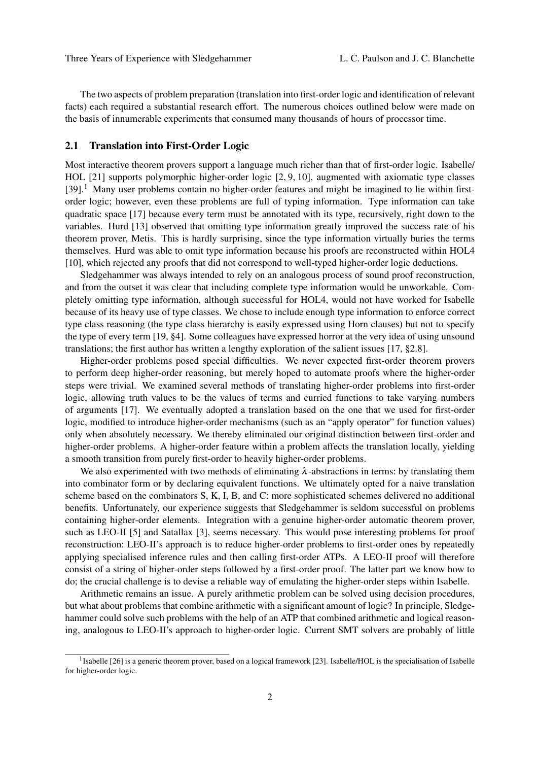The two aspects of problem preparation (translation into first-order logic and identification of relevant facts) each required a substantial research effort. The numerous choices outlined below were made on the basis of innumerable experiments that consumed many thousands of hours of processor time.

#### 2.1 Translation into First-Order Logic

Most interactive theorem provers support a language much richer than that of first-order logic. Isabelle/ HOL [21] supports polymorphic higher-order logic [2, 9, 10], augmented with axiomatic type classes [39].<sup>1</sup> Many user problems contain no higher-order features and might be imagined to lie within firstorder logic; however, even these problems are full of typing information. Type information can take quadratic space [17] because every term must be annotated with its type, recursively, right down to the variables. Hurd [13] observed that omitting type information greatly improved the success rate of his theorem prover, Metis. This is hardly surprising, since the type information virtually buries the terms themselves. Hurd was able to omit type information because his proofs are reconstructed within HOL4 [10], which rejected any proofs that did not correspond to well-typed higher-order logic deductions.

Sledgehammer was always intended to rely on an analogous process of sound proof reconstruction, and from the outset it was clear that including complete type information would be unworkable. Completely omitting type information, although successful for HOL4, would not have worked for Isabelle because of its heavy use of type classes. We chose to include enough type information to enforce correct type class reasoning (the type class hierarchy is easily expressed using Horn clauses) but not to specify the type of every term [19, §4]. Some colleagues have expressed horror at the very idea of using unsound translations; the first author has written a lengthy exploration of the salient issues [17, §2.8].

Higher-order problems posed special difficulties. We never expected first-order theorem provers to perform deep higher-order reasoning, but merely hoped to automate proofs where the higher-order steps were trivial. We examined several methods of translating higher-order problems into first-order logic, allowing truth values to be the values of terms and curried functions to take varying numbers of arguments [17]. We eventually adopted a translation based on the one that we used for first-order logic, modified to introduce higher-order mechanisms (such as an "apply operator" for function values) only when absolutely necessary. We thereby eliminated our original distinction between first-order and higher-order problems. A higher-order feature within a problem affects the translation locally, yielding a smooth transition from purely first-order to heavily higher-order problems.

We also experimented with two methods of eliminating  $\lambda$ -abstractions in terms: by translating them into combinator form or by declaring equivalent functions. We ultimately opted for a naive translation scheme based on the combinators S, K, I, B, and C: more sophisticated schemes delivered no additional benefits. Unfortunately, our experience suggests that Sledgehammer is seldom successful on problems containing higher-order elements. Integration with a genuine higher-order automatic theorem prover, such as LEO-II [5] and Satallax [3], seems necessary. This would pose interesting problems for proof reconstruction: LEO-II's approach is to reduce higher-order problems to first-order ones by repeatedly applying specialised inference rules and then calling first-order ATPs. A LEO-II proof will therefore consist of a string of higher-order steps followed by a first-order proof. The latter part we know how to do; the crucial challenge is to devise a reliable way of emulating the higher-order steps within Isabelle.

Arithmetic remains an issue. A purely arithmetic problem can be solved using decision procedures, but what about problems that combine arithmetic with a significant amount of logic? In principle, Sledgehammer could solve such problems with the help of an ATP that combined arithmetic and logical reasoning, analogous to LEO-II's approach to higher-order logic. Current SMT solvers are probably of little

<sup>&</sup>lt;sup>1</sup> Isabelle [26] is a generic theorem prover, based on a logical framework [23]. Isabelle/HOL is the specialisation of Isabelle for higher-order logic.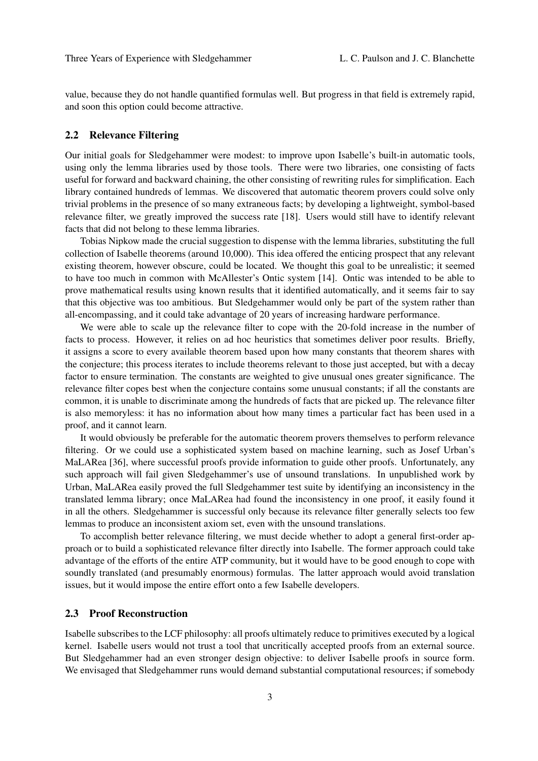value, because they do not handle quantified formulas well. But progress in that field is extremely rapid, and soon this option could become attractive.

#### 2.2 Relevance Filtering

Our initial goals for Sledgehammer were modest: to improve upon Isabelle's built-in automatic tools, using only the lemma libraries used by those tools. There were two libraries, one consisting of facts useful for forward and backward chaining, the other consisting of rewriting rules for simplification. Each library contained hundreds of lemmas. We discovered that automatic theorem provers could solve only trivial problems in the presence of so many extraneous facts; by developing a lightweight, symbol-based relevance filter, we greatly improved the success rate [18]. Users would still have to identify relevant facts that did not belong to these lemma libraries.

Tobias Nipkow made the crucial suggestion to dispense with the lemma libraries, substituting the full collection of Isabelle theorems (around 10,000). This idea offered the enticing prospect that any relevant existing theorem, however obscure, could be located. We thought this goal to be unrealistic; it seemed to have too much in common with McAllester's Ontic system [14]. Ontic was intended to be able to prove mathematical results using known results that it identified automatically, and it seems fair to say that this objective was too ambitious. But Sledgehammer would only be part of the system rather than all-encompassing, and it could take advantage of 20 years of increasing hardware performance.

We were able to scale up the relevance filter to cope with the 20-fold increase in the number of facts to process. However, it relies on ad hoc heuristics that sometimes deliver poor results. Briefly, it assigns a score to every available theorem based upon how many constants that theorem shares with the conjecture; this process iterates to include theorems relevant to those just accepted, but with a decay factor to ensure termination. The constants are weighted to give unusual ones greater significance. The relevance filter copes best when the conjecture contains some unusual constants; if all the constants are common, it is unable to discriminate among the hundreds of facts that are picked up. The relevance filter is also memoryless: it has no information about how many times a particular fact has been used in a proof, and it cannot learn.

It would obviously be preferable for the automatic theorem provers themselves to perform relevance filtering. Or we could use a sophisticated system based on machine learning, such as Josef Urban's MaLARea [36], where successful proofs provide information to guide other proofs. Unfortunately, any such approach will fail given Sledgehammer's use of unsound translations. In unpublished work by Urban, MaLARea easily proved the full Sledgehammer test suite by identifying an inconsistency in the translated lemma library; once MaLARea had found the inconsistency in one proof, it easily found it in all the others. Sledgehammer is successful only because its relevance filter generally selects too few lemmas to produce an inconsistent axiom set, even with the unsound translations.

To accomplish better relevance filtering, we must decide whether to adopt a general first-order approach or to build a sophisticated relevance filter directly into Isabelle. The former approach could take advantage of the efforts of the entire ATP community, but it would have to be good enough to cope with soundly translated (and presumably enormous) formulas. The latter approach would avoid translation issues, but it would impose the entire effort onto a few Isabelle developers.

#### 2.3 Proof Reconstruction

Isabelle subscribes to the LCF philosophy: all proofs ultimately reduce to primitives executed by a logical kernel. Isabelle users would not trust a tool that uncritically accepted proofs from an external source. But Sledgehammer had an even stronger design objective: to deliver Isabelle proofs in source form. We envisaged that Sledgehammer runs would demand substantial computational resources; if somebody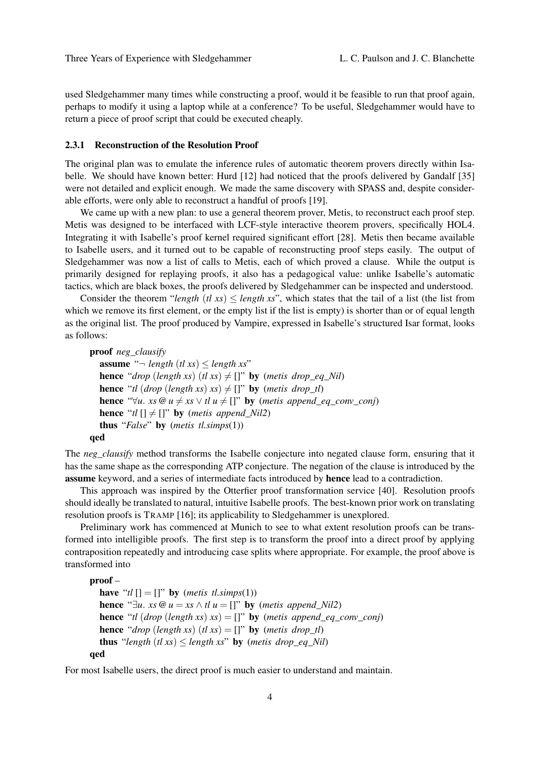used Sledgehammer many times while constructing a proof, would it be feasible to run that proof again, perhaps to modify it using a laptop while at a conference? To be useful, Sledgehammer would have to return a piece of proof script that could be executed cheaply.

#### 2.3.1 Reconstruction of the Resolution Proof

The original plan was to emulate the inference rules of automatic theorem provers directly within Isabelle. We should have known better: Hurd [12] had noticed that the proofs delivered by Gandalf [35] were not detailed and explicit enough. We made the same discovery with SPASS and, despite considerable efforts, were only able to reconstruct a handful of proofs [19].

We came up with a new plan: to use a general theorem prover, Metis, to reconstruct each proof step. Metis was designed to be interfaced with LCF-style interactive theorem provers, specifically HOL4. Integrating it with Isabelle's proof kernel required significant effort [28]. Metis then became available to Isabelle users, and it turned out to be capable of reconstructing proof steps easily. The output of Sledgehammer was now a list of calls to Metis, each of which proved a clause. While the output is primarily designed for replaying proofs, it also has a pedagogical value: unlike Isabelle's automatic tactics, which are black boxes, the proofs delivered by Sledgehammer can be inspected and understood.

Consider the theorem "*length* (*tl xs*)  $\leq$  *length xs*", which states that the tail of a list (the list from which we remove its first element, or the empty list if the list is empty) is shorter than or of equal length as the original list. The proof produced by Vampire, expressed in Isabelle's structured Isar format, looks as follows:

```
proof neg_clausify
  assume "\neg length (tl xs) \leq length xs"
  hence "drop (length xs) (tl xs) \neq []" by (metis drop_eq_Nil)
  hence "tl (drop (length xs) xs) \neq []" by (metis drop_tl)
  hence "\forall u. xs \mathcal{Q} u \neq xs \vee tl u \neq []" by (metis append_eq_conv_conj)
  hence "tl [] \neq []" by (metis append Nil2)
  thus "False" by (metis tl.simps(1))
qed
```
The *neg\_clausify* method transforms the Isabelle conjecture into negated clause form, ensuring that it has the same shape as the corresponding ATP conjecture. The negation of the clause is introduced by the assume keyword, and a series of intermediate facts introduced by hence lead to a contradiction.

This approach was inspired by the Otterfier proof transformation service [40]. Resolution proofs should ideally be translated to natural, intuitive Isabelle proofs. The best-known prior work on translating resolution proofs is TRAMP [16]; its applicability to Sledgehammer is unexplored.

Preliminary work has commenced at Munich to see to what extent resolution proofs can be transformed into intelligible proofs. The first step is to transform the proof into a direct proof by applying contraposition repeatedly and introducing case splits where appropriate. For example, the proof above is transformed into

```
proof –
  have "tl [] = []" by (metis tl.simps(1))
  hence "\exists u. xs \mathcal{Q} u = xs \wedge tl u = []" by (metis append_Nil2)
  hence "tl (drop (length xs) xs) = []" by (metis append_eq_conv_conj)
  hence "drop (length xs) (tl xs) = []" by (metis drop_tl)
  thus "length (t \, \textit{xs}) \leq \textit{length} \, \textit{xs}" by (metis drop_eq_Nil)
qed
```
For most Isabelle users, the direct proof is much easier to understand and maintain.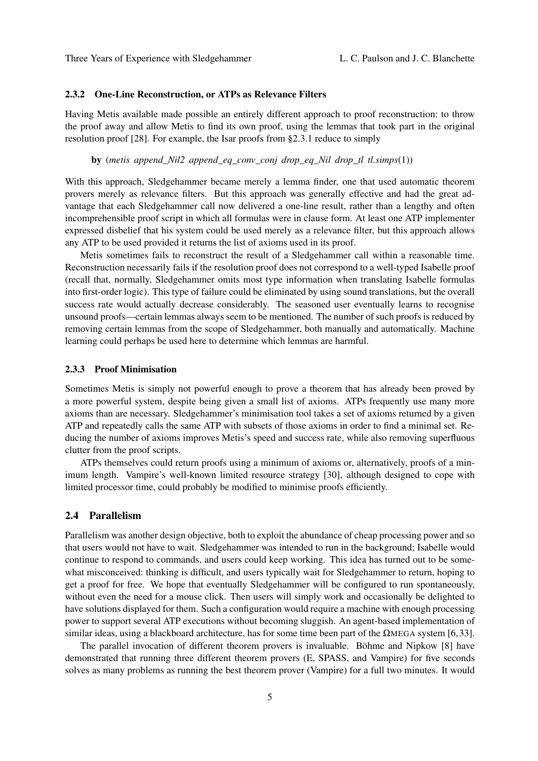#### 2.3.2 One-Line Reconstruction, or ATPs as Relevance Filters

Having Metis available made possible an entirely different approach to proof reconstruction: to throw the proof away and allow Metis to find its own proof, using the lemmas that took part in the original resolution proof [28]. For example, the Isar proofs from §2.3.1 reduce to simply

by (*metis append\_Nil2 append\_eq\_conv\_conj drop\_eq\_Nil drop\_tl tl.simps*(1))

With this approach, Sledgehammer became merely a lemma finder, one that used automatic theorem provers merely as relevance filters. But this approach was generally effective and had the great advantage that each Sledgehammer call now delivered a one-line result, rather than a lengthy and often incomprehensible proof script in which all formulas were in clause form. At least one ATP implementer expressed disbelief that his system could be used merely as a relevance filter, but this approach allows any ATP to be used provided it returns the list of axioms used in its proof.

Metis sometimes fails to reconstruct the result of a Sledgehammer call within a reasonable time. Reconstruction necessarily fails if the resolution proof does not correspond to a well-typed Isabelle proof (recall that, normally, Sledgehammer omits most type information when translating Isabelle formulas into first-order logic). This type of failure could be eliminated by using sound translations, but the overall success rate would actually decrease considerably. The seasoned user eventually learns to recognise unsound proofs—certain lemmas always seem to be mentioned. The number of such proofs is reduced by removing certain lemmas from the scope of Sledgehammer, both manually and automatically. Machine learning could perhaps be used here to determine which lemmas are harmful.

#### 2.3.3 Proof Minimisation

Sometimes Metis is simply not powerful enough to prove a theorem that has already been proved by a more powerful system, despite being given a small list of axioms. ATPs frequently use many more axioms than are necessary. Sledgehammer's minimisation tool takes a set of axioms returned by a given ATP and repeatedly calls the same ATP with subsets of those axioms in order to find a minimal set. Reducing the number of axioms improves Metis's speed and success rate, while also removing superfluous clutter from the proof scripts.

ATPs themselves could return proofs using a minimum of axioms or, alternatively, proofs of a minimum length. Vampire's well-known limited resource strategy [30], although designed to cope with limited processor time, could probably be modified to minimise proofs efficiently.

#### 2.4 Parallelism

Parallelism was another design objective, both to exploit the abundance of cheap processing power and so that users would not have to wait. Sledgehammer was intended to run in the background; Isabelle would continue to respond to commands, and users could keep working. This idea has turned out to be somewhat misconceived: thinking is difficult, and users typically wait for Sledgehammer to return, hoping to get a proof for free. We hope that eventually Sledgehammer will be configured to run spontaneously, without even the need for a mouse click. Then users will simply work and occasionally be delighted to have solutions displayed for them. Such a configuration would require a machine with enough processing power to support several ATP executions without becoming sluggish. An agent-based implementation of similar ideas, using a blackboard architecture, has for some time been part of the  $\Omega_{\text{MEGA}}$  system [6,33].

The parallel invocation of different theorem provers is invaluable. Böhme and Nipkow [8] have demonstrated that running three different theorem provers (E, SPASS, and Vampire) for five seconds solves as many problems as running the best theorem prover (Vampire) for a full two minutes. It would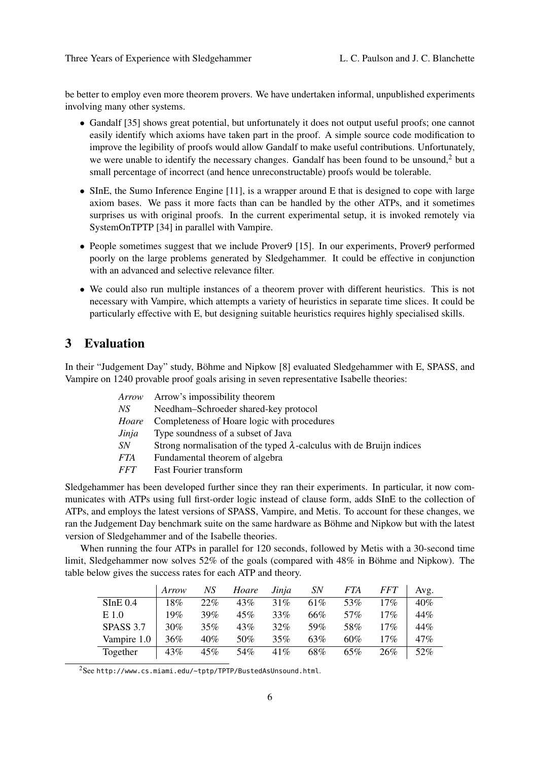be better to employ even more theorem provers. We have undertaken informal, unpublished experiments involving many other systems.

- Gandalf [35] shows great potential, but unfortunately it does not output useful proofs; one cannot easily identify which axioms have taken part in the proof. A simple source code modification to improve the legibility of proofs would allow Gandalf to make useful contributions. Unfortunately, we were unable to identify the necessary changes. Gandalf has been found to be unsound.<sup>2</sup> but a small percentage of incorrect (and hence unreconstructable) proofs would be tolerable.
- SInE, the Sumo Inference Engine [11], is a wrapper around E that is designed to cope with large axiom bases. We pass it more facts than can be handled by the other ATPs, and it sometimes surprises us with original proofs. In the current experimental setup, it is invoked remotely via SystemOnTPTP [34] in parallel with Vampire.
- People sometimes suggest that we include Prover9 [15]. In our experiments, Prover9 performed poorly on the large problems generated by Sledgehammer. It could be effective in conjunction with an advanced and selective relevance filter.
- We could also run multiple instances of a theorem prover with different heuristics. This is not necessary with Vampire, which attempts a variety of heuristics in separate time slices. It could be particularly effective with E, but designing suitable heuristics requires highly specialised skills.

# 3 Evaluation

In their "Judgement Day" study, Böhme and Nipkow [8] evaluated Sledgehammer with E, SPASS, and Vampire on 1240 provable proof goals arising in seven representative Isabelle theories:

| Arrow      | Arrow's impossibility theorem                                                |
|------------|------------------------------------------------------------------------------|
| NS         | Needham-Schroeder shared-key protocol                                        |
| Hoare      | Completeness of Hoare logic with procedures                                  |
| Jinja      | Type soundness of a subset of Java                                           |
| SN         | Strong normalisation of the typed $\lambda$ -calculus with de Bruijn indices |
| <i>FTA</i> | Fundamental theorem of algebra                                               |
| <i>FFT</i> | <b>Fast Fourier transform</b>                                                |
|            |                                                                              |

Sledgehammer has been developed further since they ran their experiments. In particular, it now communicates with ATPs using full first-order logic instead of clause form, adds SInE to the collection of ATPs, and employs the latest versions of SPASS, Vampire, and Metis. To account for these changes, we ran the Judgement Day benchmark suite on the same hardware as Böhme and Nipkow but with the latest version of Sledgehammer and of the Isabelle theories.

When running the four ATPs in parallel for 120 seconds, followed by Metis with a 30-second time limit, Sledgehammer now solves 52% of the goals (compared with 48% in Böhme and Nipkow). The table below gives the success rates for each ATP and theory.

|             | Arrow | NS  | Hoare | Jinja  | <i>SN</i> | FTA | <i>FFT</i> | Avg. |
|-------------|-------|-----|-------|--------|-----------|-----|------------|------|
| SInE 0.4    | 18%   | 22% | 43%   | 31%    | 61%       | 53% | 17%        | 40%  |
| E 1.0       | 19%   | 39% | 45%   | 33%    | 66%       | 57% | 17%        | 44%  |
| SPASS 3.7   | 30%   | 35% | 43%   | $32\%$ | 59%       | 58% | 17%        | 44%  |
| Vampire 1.0 | 36%   | 40% | 50%   | 35%    | 63%       | 60% | 17%        | 47%  |
| Together    | 43%   | 45% | 54%   | 41%    | 68%       | 65% | 26%        | 52%  |

<sup>2</sup>See http://www.cs.miami.edu/~tptp/TPTP/BustedAsUnsound.html.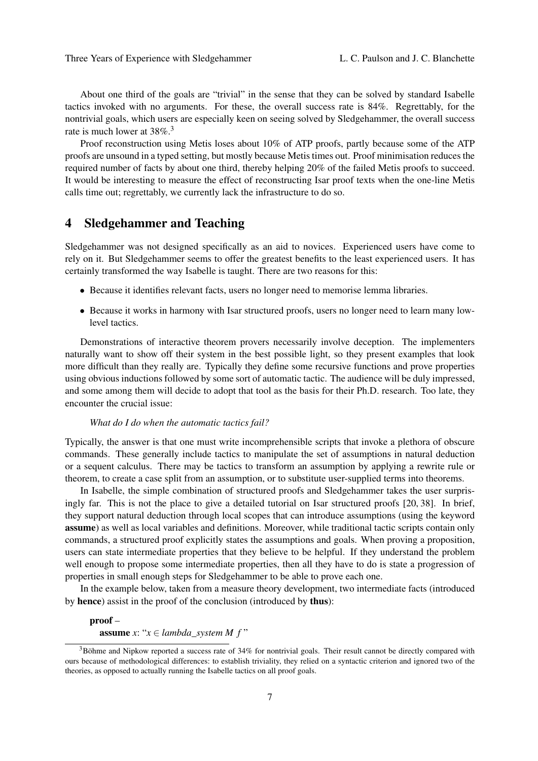About one third of the goals are "trivial" in the sense that they can be solved by standard Isabelle tactics invoked with no arguments. For these, the overall success rate is 84%. Regrettably, for the nontrivial goals, which users are especially keen on seeing solved by Sledgehammer, the overall success rate is much lower at  $38\%$ <sup>3</sup>

Proof reconstruction using Metis loses about 10% of ATP proofs, partly because some of the ATP proofs are unsound in a typed setting, but mostly because Metis times out. Proof minimisation reduces the required number of facts by about one third, thereby helping 20% of the failed Metis proofs to succeed. It would be interesting to measure the effect of reconstructing Isar proof texts when the one-line Metis calls time out; regrettably, we currently lack the infrastructure to do so.

# 4 Sledgehammer and Teaching

Sledgehammer was not designed specifically as an aid to novices. Experienced users have come to rely on it. But Sledgehammer seems to offer the greatest benefits to the least experienced users. It has certainly transformed the way Isabelle is taught. There are two reasons for this:

- Because it identifies relevant facts, users no longer need to memorise lemma libraries.
- Because it works in harmony with Isar structured proofs, users no longer need to learn many lowlevel tactics.

Demonstrations of interactive theorem provers necessarily involve deception. The implementers naturally want to show off their system in the best possible light, so they present examples that look more difficult than they really are. Typically they define some recursive functions and prove properties using obvious inductions followed by some sort of automatic tactic. The audience will be duly impressed, and some among them will decide to adopt that tool as the basis for their Ph.D. research. Too late, they encounter the crucial issue:

#### *What do I do when the automatic tactics fail?*

Typically, the answer is that one must write incomprehensible scripts that invoke a plethora of obscure commands. These generally include tactics to manipulate the set of assumptions in natural deduction or a sequent calculus. There may be tactics to transform an assumption by applying a rewrite rule or theorem, to create a case split from an assumption, or to substitute user-supplied terms into theorems.

In Isabelle, the simple combination of structured proofs and Sledgehammer takes the user surprisingly far. This is not the place to give a detailed tutorial on Isar structured proofs [20, 38]. In brief, they support natural deduction through local scopes that can introduce assumptions (using the keyword assume) as well as local variables and definitions. Moreover, while traditional tactic scripts contain only commands, a structured proof explicitly states the assumptions and goals. When proving a proposition, users can state intermediate properties that they believe to be helpful. If they understand the problem well enough to propose some intermediate properties, then all they have to do is state a progression of properties in small enough steps for Sledgehammer to be able to prove each one.

In the example below, taken from a measure theory development, two intermediate facts (introduced by hence) assist in the proof of the conclusion (introduced by thus):

#### proof –

**assume**  $x: "x \in lambda \text{ system } M \text{ } f"$ 

 $3B$ öhme and Nipkow reported a success rate of 34% for nontrivial goals. Their result cannot be directly compared with ours because of methodological differences: to establish triviality, they relied on a syntactic criterion and ignored two of the theories, as opposed to actually running the Isabelle tactics on all proof goals.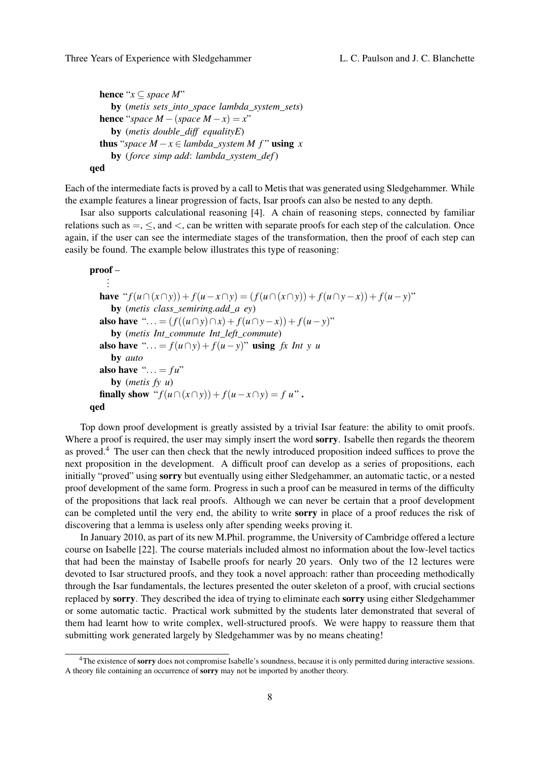```
hence "x \subseteq space M"
     by (metis sets_into_space lambda_system_sets)
  hence "space M - (space M - x) = x"
     by (metis double_diff equalityE)
  thus "space M − x ∈ lambda_ssystem M f" using xby (force simp add: lambda_system_def)
qed
```
Each of the intermediate facts is proved by a call to Metis that was generated using Sledgehammer. While the example features a linear progression of facts, Isar proofs can also be nested to any depth.

Isar also supports calculational reasoning [4]. A chain of reasoning steps, connected by familiar relations such as  $=$ ,  $\le$ , and  $\le$ , can be written with separate proofs for each step of the calculation. Once again, if the user can see the intermediate stages of the transformation, then the proof of each step can easily be found. The example below illustrates this type of reasoning:

```
proof –
.
```

```
.
    .
  have "f(u \cap (x \cap y)) + f(u-x \cap y) = (f(u \cap (x \cap y)) + f(u \cap y-x)) + f(u-y)"
     by (metis class_semiring.add_a ey)
  also have "... = (f((u \cap y) \cap x) + f(u \cap y - x)) + f(u - y)"
     by (metis Int_commute Int_left_commute)
  also have "\ldots = f(u \cap y) + f(u - y)" using fx Int y u
     by auto
  also have "\dots = fu"
     by (metis fy u)
  finally show "f(u \cap (x \cap y)) + f(u-x \cap y) = f(u)".
qed
```
Top down proof development is greatly assisted by a trivial Isar feature: the ability to omit proofs. Where a proof is required, the user may simply insert the word sorry. Isabelle then regards the theorem as proved.<sup>4</sup> The user can then check that the newly introduced proposition indeed suffices to prove the next proposition in the development. A difficult proof can develop as a series of propositions, each initially "proved" using sorry but eventually using either Sledgehammer, an automatic tactic, or a nested proof development of the same form. Progress in such a proof can be measured in terms of the difficulty of the propositions that lack real proofs. Although we can never be certain that a proof development can be completed until the very end, the ability to write sorry in place of a proof reduces the risk of discovering that a lemma is useless only after spending weeks proving it.

In January 2010, as part of its new M.Phil. programme, the University of Cambridge offered a lecture course on Isabelle [22]. The course materials included almost no information about the low-level tactics that had been the mainstay of Isabelle proofs for nearly 20 years. Only two of the 12 lectures were devoted to Isar structured proofs, and they took a novel approach: rather than proceeding methodically through the Isar fundamentals, the lectures presented the outer skeleton of a proof, with crucial sections replaced by sorry. They described the idea of trying to eliminate each sorry using either Sledgehammer or some automatic tactic. Practical work submitted by the students later demonstrated that several of them had learnt how to write complex, well-structured proofs. We were happy to reassure them that submitting work generated largely by Sledgehammer was by no means cheating!

<sup>&</sup>lt;sup>4</sup>The existence of sorry does not compromise Isabelle's soundness, because it is only permitted during interactive sessions. A theory file containing an occurrence of sorry may not be imported by another theory.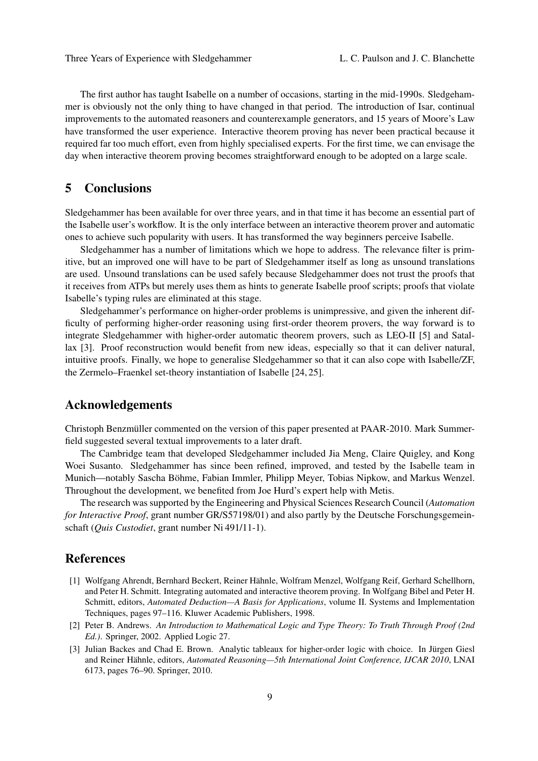The first author has taught Isabelle on a number of occasions, starting in the mid-1990s. Sledgehammer is obviously not the only thing to have changed in that period. The introduction of Isar, continual improvements to the automated reasoners and counterexample generators, and 15 years of Moore's Law have transformed the user experience. Interactive theorem proving has never been practical because it required far too much effort, even from highly specialised experts. For the first time, we can envisage the day when interactive theorem proving becomes straightforward enough to be adopted on a large scale.

# 5 Conclusions

Sledgehammer has been available for over three years, and in that time it has become an essential part of the Isabelle user's workflow. It is the only interface between an interactive theorem prover and automatic ones to achieve such popularity with users. It has transformed the way beginners perceive Isabelle.

Sledgehammer has a number of limitations which we hope to address. The relevance filter is primitive, but an improved one will have to be part of Sledgehammer itself as long as unsound translations are used. Unsound translations can be used safely because Sledgehammer does not trust the proofs that it receives from ATPs but merely uses them as hints to generate Isabelle proof scripts; proofs that violate Isabelle's typing rules are eliminated at this stage.

Sledgehammer's performance on higher-order problems is unimpressive, and given the inherent difficulty of performing higher-order reasoning using first-order theorem provers, the way forward is to integrate Sledgehammer with higher-order automatic theorem provers, such as LEO-II [5] and Satallax [3]. Proof reconstruction would benefit from new ideas, especially so that it can deliver natural, intuitive proofs. Finally, we hope to generalise Sledgehammer so that it can also cope with Isabelle/ZF, the Zermelo–Fraenkel set-theory instantiation of Isabelle [24, 25].

# Acknowledgements

Christoph Benzmüller commented on the version of this paper presented at PAAR-2010. Mark Summerfield suggested several textual improvements to a later draft.

The Cambridge team that developed Sledgehammer included Jia Meng, Claire Quigley, and Kong Woei Susanto. Sledgehammer has since been refined, improved, and tested by the Isabelle team in Munich—notably Sascha Böhme, Fabian Immler, Philipp Meyer, Tobias Nipkow, and Markus Wenzel. Throughout the development, we benefited from Joe Hurd's expert help with Metis.

The research was supported by the Engineering and Physical Sciences Research Council (*Automation for Interactive Proof*, grant number GR/S57198/01) and also partly by the Deutsche Forschungsgemeinschaft (*Quis Custodiet*, grant number Ni 491/11-1).

# References

- [1] Wolfgang Ahrendt, Bernhard Beckert, Reiner Hähnle, Wolfram Menzel, Wolfgang Reif, Gerhard Schellhorn, and Peter H. Schmitt. Integrating automated and interactive theorem proving. In Wolfgang Bibel and Peter H. Schmitt, editors, *Automated Deduction—A Basis for Applications*, volume II. Systems and Implementation Techniques, pages 97–116. Kluwer Academic Publishers, 1998.
- [2] Peter B. Andrews. *An Introduction to Mathematical Logic and Type Theory: To Truth Through Proof (2nd Ed.)*. Springer, 2002. Applied Logic 27.
- [3] Julian Backes and Chad E. Brown. Analytic tableaux for higher-order logic with choice. In Jürgen Giesl and Reiner Hähnle, editors, *Automated Reasoning—5th International Joint Conference, IJCAR 2010*, LNAI 6173, pages 76–90. Springer, 2010.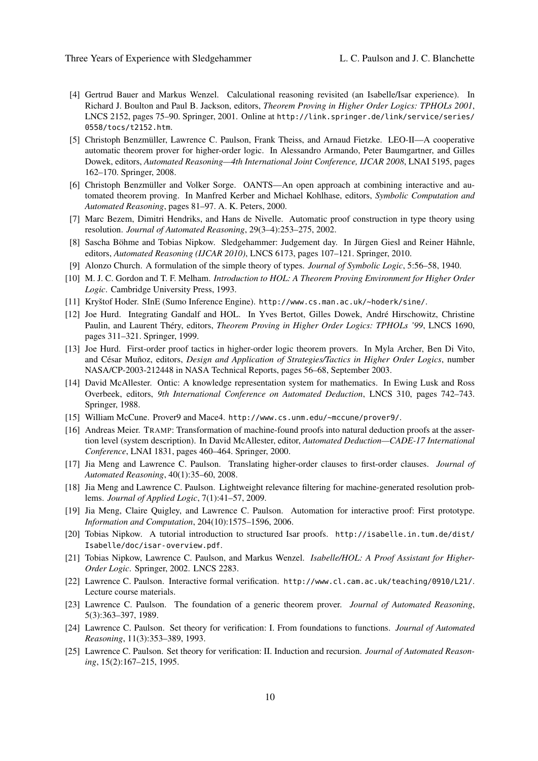- [4] Gertrud Bauer and Markus Wenzel. Calculational reasoning revisited (an Isabelle/Isar experience). In Richard J. Boulton and Paul B. Jackson, editors, *Theorem Proving in Higher Order Logics: TPHOLs 2001*, LNCS 2152, pages 75–90. Springer, 2001. Online at http://link.springer.de/link/service/series/ 0558/tocs/t2152.htm.
- [5] Christoph Benzmüller, Lawrence C. Paulson, Frank Theiss, and Arnaud Fietzke. LEO-II—A cooperative automatic theorem prover for higher-order logic. In Alessandro Armando, Peter Baumgartner, and Gilles Dowek, editors, *Automated Reasoning—4th International Joint Conference, IJCAR 2008*, LNAI 5195, pages 162–170. Springer, 2008.
- [6] Christoph Benzmüller and Volker Sorge. OANTS—An open approach at combining interactive and automated theorem proving. In Manfred Kerber and Michael Kohlhase, editors, *Symbolic Computation and Automated Reasoning*, pages 81–97. A. K. Peters, 2000.
- [7] Marc Bezem, Dimitri Hendriks, and Hans de Nivelle. Automatic proof construction in type theory using resolution. *Journal of Automated Reasoning*, 29(3–4):253–275, 2002.
- [8] Sascha Böhme and Tobias Nipkow. Sledgehammer: Judgement day. In Jürgen Giesl and Reiner Hähnle, editors, *Automated Reasoning (IJCAR 2010)*, LNCS 6173, pages 107–121. Springer, 2010.
- [9] Alonzo Church. A formulation of the simple theory of types. *Journal of Symbolic Logic*, 5:56–58, 1940.
- [10] M. J. C. Gordon and T. F. Melham. *Introduction to HOL: A Theorem Proving Environment for Higher Order Logic*. Cambridge University Press, 1993.
- [11] Kryštof Hoder. SInE (Sumo Inference Engine). http://www.cs.man.ac.uk/~hoderk/sine/.
- [12] Joe Hurd. Integrating Gandalf and HOL. In Yves Bertot, Gilles Dowek, André Hirschowitz, Christine Paulin, and Laurent Théry, editors, *Theorem Proving in Higher Order Logics: TPHOLs '99*, LNCS 1690, pages 311–321. Springer, 1999.
- [13] Joe Hurd. First-order proof tactics in higher-order logic theorem provers. In Myla Archer, Ben Di Vito, and César Muñoz, editors, *Design and Application of Strategies/Tactics in Higher Order Logics*, number NASA/CP-2003-212448 in NASA Technical Reports, pages 56–68, September 2003.
- [14] David McAllester. Ontic: A knowledge representation system for mathematics. In Ewing Lusk and Ross Overbeek, editors, *9th International Conference on Automated Deduction*, LNCS 310, pages 742–743. Springer, 1988.
- [15] William McCune. Prover9 and Mace4. http://www.cs.unm.edu/~mccune/prover9/.
- [16] Andreas Meier. TRAMP: Transformation of machine-found proofs into natural deduction proofs at the assertion level (system description). In David McAllester, editor, *Automated Deduction—CADE-17 International Conference*, LNAI 1831, pages 460–464. Springer, 2000.
- [17] Jia Meng and Lawrence C. Paulson. Translating higher-order clauses to first-order clauses. *Journal of Automated Reasoning*, 40(1):35–60, 2008.
- [18] Jia Meng and Lawrence C. Paulson. Lightweight relevance filtering for machine-generated resolution problems. *Journal of Applied Logic*, 7(1):41–57, 2009.
- [19] Jia Meng, Claire Quigley, and Lawrence C. Paulson. Automation for interactive proof: First prototype. *Information and Computation*, 204(10):1575–1596, 2006.
- [20] Tobias Nipkow. A tutorial introduction to structured Isar proofs. http://isabelle.in.tum.de/dist/ Isabelle/doc/isar-overview.pdf.
- [21] Tobias Nipkow, Lawrence C. Paulson, and Markus Wenzel. *Isabelle/HOL: A Proof Assistant for Higher-Order Logic*. Springer, 2002. LNCS 2283.
- [22] Lawrence C. Paulson. Interactive formal verification. http://www.cl.cam.ac.uk/teaching/0910/L21/. Lecture course materials.
- [23] Lawrence C. Paulson. The foundation of a generic theorem prover. *Journal of Automated Reasoning*, 5(3):363–397, 1989.
- [24] Lawrence C. Paulson. Set theory for verification: I. From foundations to functions. *Journal of Automated Reasoning*, 11(3):353–389, 1993.
- [25] Lawrence C. Paulson. Set theory for verification: II. Induction and recursion. *Journal of Automated Reasoning*, 15(2):167–215, 1995.